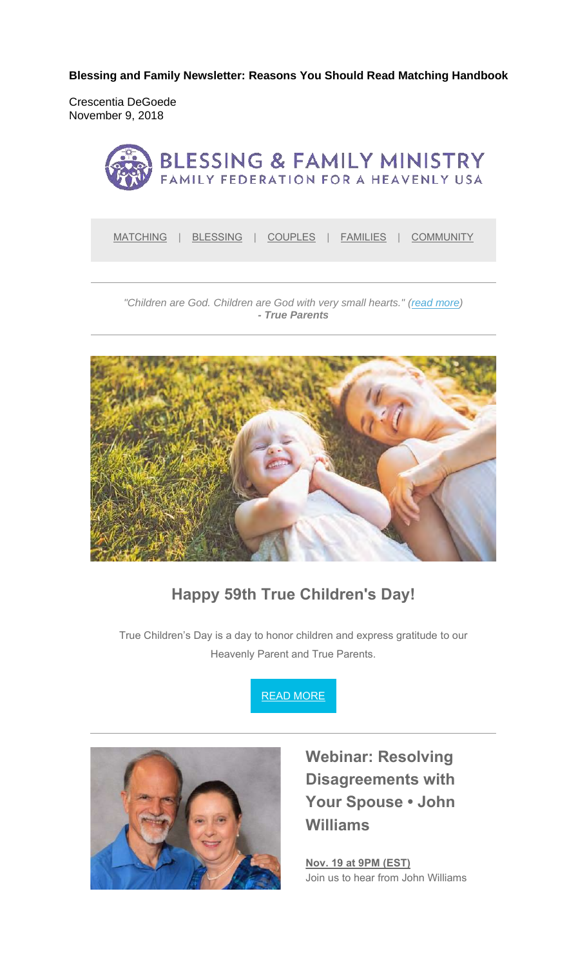**Blessing and Family Newsletter: Reasons You Should Read Matching Handbook** 

Crescentia DeGoede November 9, 2018



MATCHING | BLESSING | COUPLES | FAMILIES | COMMUNITY

*"Children are God. Children are God with very small hearts." (read more) - True Parents*



#### **Happy 59th True Children's Day!**

True Children's Day is a day to honor children and express gratitude to our Heavenly Parent and True Parents.





**Webinar: Resolving Disagreements with Your Spouse • John Williams**

**Nov. 19 at 9PM (EST)** Join us to hear from John Williams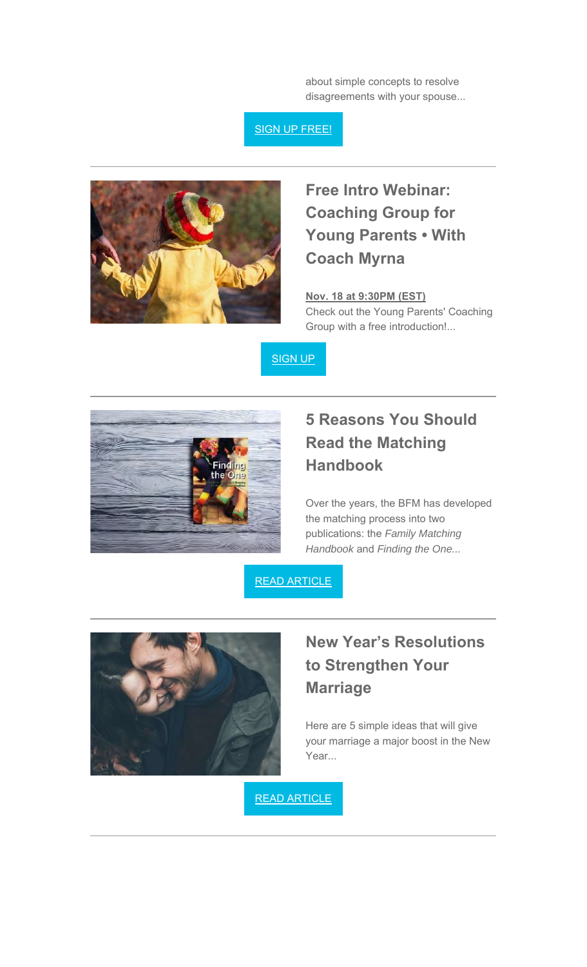about simple concepts to resolve disagreements with your spouse...

#### SIGN UP FREE!



## **Free Intro Webinar: Coaching Group for Young Parents • With Coach Myrna**

**Nov. 18 at 9:30PM (EST)**

Check out the Young Parents' Coaching Group with a free introduction!...





# **5 Reasons You Should Read the Matching Handbook**

Over the years, the BFM has developed the matching process into two publications: the *Family Matching Handbook* and *Finding the One...*

READ ARTICLE



## **New Year's Resolutions to Strengthen Your Marriage**

Here are 5 simple ideas that will give your marriage a major boost in the New Year...

READ ARTICLE